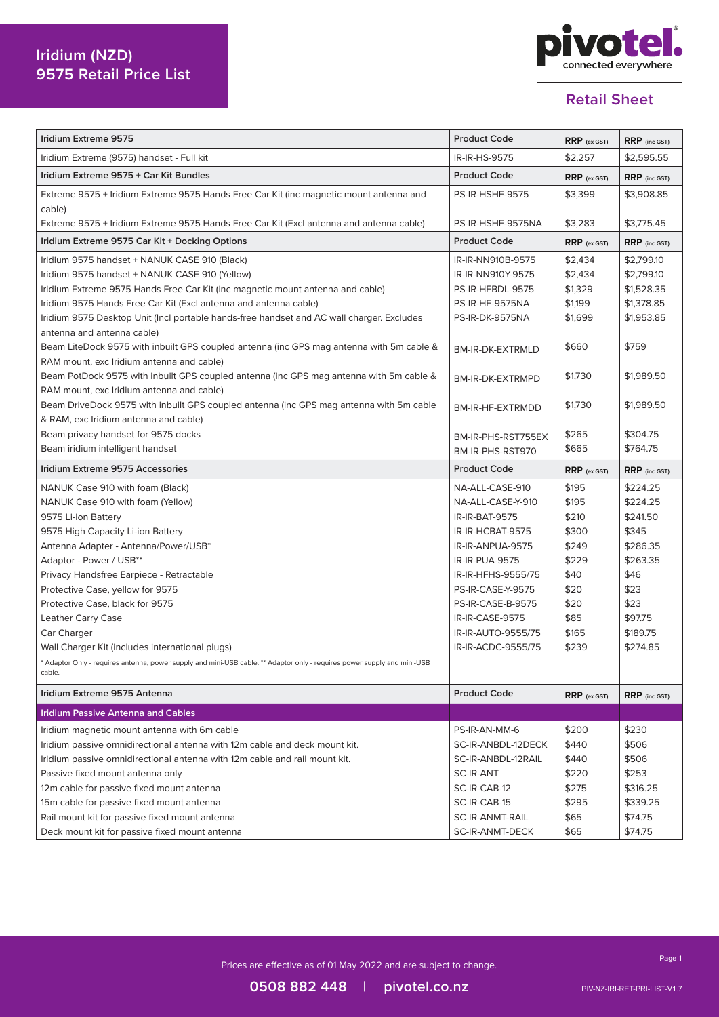

| Iridium Extreme 9575                                                                                                     | <b>Product Code</b>    | RRP (ex GST)   | RRP (inc GST) |
|--------------------------------------------------------------------------------------------------------------------------|------------------------|----------------|---------------|
| Iridium Extreme (9575) handset - Full kit                                                                                | IR-IR-HS-9575          | \$2,257        | \$2,595.55    |
| Iridium Extreme 9575 + Car Kit Bundles                                                                                   | <b>Product Code</b>    | $RRP$ (ex GST) | RRP (inc GST) |
| Extreme 9575 + Iridium Extreme 9575 Hands Free Car Kit (inc magnetic mount antenna and<br>cable)                         | <b>PS-IR-HSHF-9575</b> | \$3,399        | \$3,908.85    |
| Extreme 9575 + Iridium Extreme 9575 Hands Free Car Kit (Excl antenna and antenna cable)                                  | PS-IR-HSHF-9575NA      | \$3,283        | \$3,775.45    |
| Iridium Extreme 9575 Car Kit + Docking Options                                                                           | <b>Product Code</b>    | $RRP$ (ex GST) | RRP (inc GST) |
| Iridium 9575 handset + NANUK CASE 910 (Black)                                                                            | IR-IR-NN910B-9575      | \$2,434        | \$2,799.10    |
| Iridium 9575 handset + NANUK CASE 910 (Yellow)                                                                           | IR-IR-NN910Y-9575      | \$2,434        | \$2,799.10    |
| Iridium Extreme 9575 Hands Free Car Kit (inc magnetic mount antenna and cable)                                           | PS-IR-HFBDL-9575       | \$1,329        | \$1,528.35    |
| Iridium 9575 Hands Free Car Kit (Excl antenna and antenna cable)                                                         | PS-IR-HF-9575NA        | \$1,199        | \$1,378.85    |
| Iridium 9575 Desktop Unit (Incl portable hands-free handset and AC wall charger. Excludes                                | PS-IR-DK-9575NA        | \$1,699        | \$1,953.85    |
| antenna and antenna cable)                                                                                               |                        |                |               |
| Beam LiteDock 9575 with inbuilt GPS coupled antenna (inc GPS mag antenna with 5m cable &                                 | BM-IR-DK-EXTRMLD       | \$660          | \$759         |
| RAM mount, exc Iridium antenna and cable)                                                                                |                        |                |               |
| Beam PotDock 9575 with inbuilt GPS coupled antenna (inc GPS mag antenna with 5m cable &                                  | BM-IR-DK-EXTRMPD       | \$1,730        | \$1,989.50    |
| RAM mount, exc Iridium antenna and cable)                                                                                |                        |                |               |
| Beam DriveDock 9575 with inbuilt GPS coupled antenna (inc GPS mag antenna with 5m cable                                  | BM-IR-HF-EXTRMDD       | \$1,730        | \$1,989.50    |
| & RAM, exc Iridium antenna and cable)                                                                                    |                        |                |               |
| Beam privacy handset for 9575 docks                                                                                      | BM-IR-PHS-RST755EX     | \$265          | \$304.75      |
| Beam iridium intelligent handset                                                                                         | BM-IR-PHS-RST970       | \$665          | \$764.75      |
|                                                                                                                          |                        |                |               |
| Iridium Extreme 9575 Accessories                                                                                         | <b>Product Code</b>    | RRP (ex GST)   | RRP (inc GST) |
| NANUK Case 910 with foam (Black)                                                                                         | NA-ALL-CASE-910        | \$195          | \$224.25      |
| NANUK Case 910 with foam (Yellow)                                                                                        | NA-ALL-CASE-Y-910      | \$195          | \$224.25      |
| 9575 Li-ion Battery                                                                                                      | IR-IR-BAT-9575         | \$210          | \$241.50      |
| 9575 High Capacity Li-ion Battery                                                                                        | IR-IR-HCBAT-9575       | \$300          | \$345         |
| Antenna Adapter - Antenna/Power/USB*                                                                                     | IR-IR-ANPUA-9575       | \$249          | \$286.35      |
| Adaptor - Power / USB**                                                                                                  | IR-IR-PUA-9575         | \$229          | \$263.35      |
| Privacy Handsfree Earpiece - Retractable                                                                                 | IR-IR-HFHS-9555/75     | \$40           | \$46          |
| Protective Case, yellow for 9575                                                                                         | PS-IR-CASE-Y-9575      | \$20           | \$23          |
| Protective Case, black for 9575                                                                                          | PS-IR-CASE-B-9575      | \$20           | \$23          |
| Leather Carry Case                                                                                                       | IR-IR-CASE-9575        | \$85           | \$97.75       |
| Car Charger                                                                                                              | IR-IR-AUTO-9555/75     | \$165          | \$189.75      |
| Wall Charger Kit (includes international plugs)                                                                          | IR-IR-ACDC-9555/75     | \$239          | \$274.85      |
| * Adaptor Only - requires antenna, power supply and mini-USB cable. ** Adaptor only - requires power supply and mini-USB |                        |                |               |
| cable.                                                                                                                   |                        |                |               |
| Iridium Extreme 9575 Antenna                                                                                             | <b>Product Code</b>    | $RRP$ (ex GST) | RRP (inc GST) |
| <b>Iridium Passive Antenna and Cables</b>                                                                                |                        |                |               |
| Iridium magnetic mount antenna with 6m cable                                                                             | PS-IR-AN-MM-6          | \$200          | \$230         |
| Iridium passive omnidirectional antenna with 12m cable and deck mount kit.                                               | SC-IR-ANBDL-12DECK     | \$440          | \$506         |
| Iridium passive omnidirectional antenna with 12m cable and rail mount kit.                                               | SC-IR-ANBDL-12RAIL     | \$440          | \$506         |
| Passive fixed mount antenna only                                                                                         | SC-IR-ANT              | \$220          | \$253         |
| 12m cable for passive fixed mount antenna                                                                                | SC-IR-CAB-12           | \$275          | \$316.25      |
| 15m cable for passive fixed mount antenna                                                                                | SC-IR-CAB-15           | \$295          | \$339.25      |
| Rail mount kit for passive fixed mount antenna                                                                           | SC-IR-ANMT-RAIL        | \$65           | \$74.75       |
| Deck mount kit for passive fixed mount antenna                                                                           | SC-IR-ANMT-DECK        | \$65           | \$74.75       |

Prices are effective as of 01 May 2022 and are subject to change.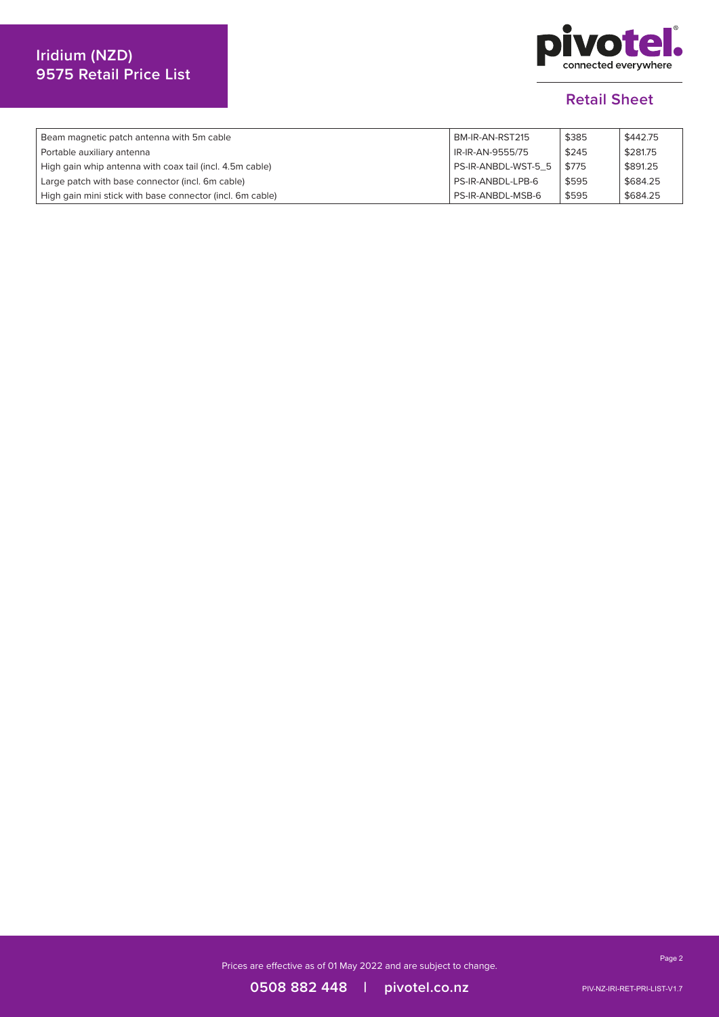# **Iridium (NZD) 9575 Retail Price List**



#### **Retail Sheet**

| Beam magnetic patch antenna with 5m cable                 | BM-IR-AN-RST215     | \$385 | \$442.75 |
|-----------------------------------------------------------|---------------------|-------|----------|
| Portable auxiliary antenna                                | IR-IR-AN-9555/75    | \$245 | \$281.75 |
| High gain whip antenna with coax tail (incl. 4.5m cable)  | PS-IR-ANBDL-WST-5 5 | \$775 | \$891.25 |
| Large patch with base connector (incl. 6m cable)          | PS-IR-ANBDL-LPB-6   | \$595 | \$684.25 |
| High gain mini stick with base connector (incl. 6m cable) | PS-IR-ANBDL-MSB-6   | \$595 | \$684.25 |

Prices are effective as of 01 May 2022 and are subject to change.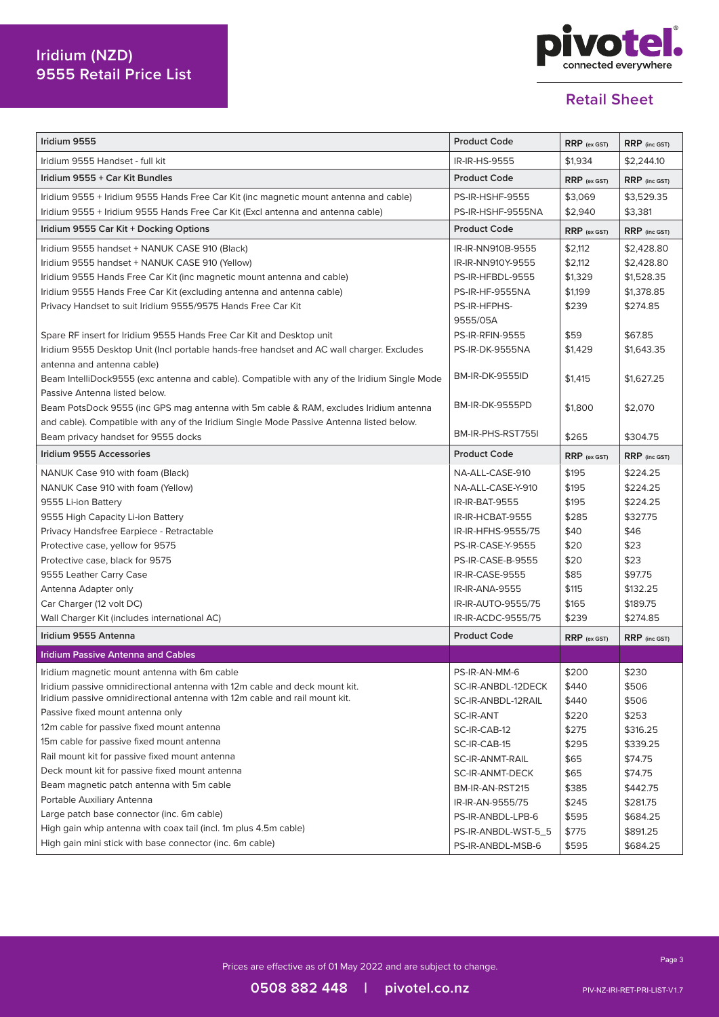# **Iridium (NZD) 9555 Retail Price List**



### **Retail Sheet**

| Iridium 9555                                                                                 | <b>Product Code</b>      | RRP (ex GST)   | RRP (inc GST) |
|----------------------------------------------------------------------------------------------|--------------------------|----------------|---------------|
| Iridium 9555 Handset - full kit                                                              | IR-IR-HS-9555            | \$1,934        | \$2,244.10    |
| Iridium 9555 + Car Kit Bundles                                                               | <b>Product Code</b>      | $RRP$ (ex GST) | RRP (inc GST) |
| Iridium 9555 + Iridium 9555 Hands Free Car Kit (inc magnetic mount antenna and cable)        | <b>PS-IR-HSHF-9555</b>   | \$3,069        | \$3,529.35    |
| Iridium 9555 + Iridium 9555 Hands Free Car Kit (Excl antenna and antenna cable)              | PS-IR-HSHF-9555NA        | \$2,940        | \$3,381       |
| Iridium 9555 Car Kit + Docking Options                                                       | <b>Product Code</b>      | $RRP$ (ex GST) | RRP (inc GST) |
| Iridium 9555 handset + NANUK CASE 910 (Black)                                                | IR-IR-NN910B-9555        | \$2,112        | \$2,428.80    |
| Iridium 9555 handset + NANUK CASE 910 (Yellow)                                               | IR-IR-NN910Y-9555        | \$2,112        | \$2,428.80    |
| Iridium 9555 Hands Free Car Kit (inc magnetic mount antenna and cable)                       | PS-IR-HFBDL-9555         | \$1,329        | \$1,528.35    |
| Iridium 9555 Hands Free Car Kit (excluding antenna and antenna cable)                        | <b>PS-IR-HF-9555NA</b>   | \$1,199        | \$1,378.85    |
| Privacy Handset to suit Iridium 9555/9575 Hands Free Car Kit                                 | PS-IR-HFPHS-             | \$239          | \$274.85      |
|                                                                                              | 9555/05A                 |                |               |
| Spare RF insert for Iridium 9555 Hands Free Car Kit and Desktop unit                         | <b>PS-IR-RFIN-9555</b>   | \$59           | \$67.85       |
| Iridium 9555 Desktop Unit (Incl portable hands-free handset and AC wall charger. Excludes    | PS-IR-DK-9555NA          | \$1,429        | \$1,643.35    |
| antenna and antenna cable)                                                                   |                          |                |               |
| Beam IntelliDock9555 (exc antenna and cable). Compatible with any of the Iridium Single Mode | <b>BM-IR-DK-9555ID</b>   | \$1,415        | \$1,627.25    |
| Passive Antenna listed below.                                                                |                          |                |               |
| Beam PotsDock 9555 (inc GPS mag antenna with 5m cable & RAM, excludes Iridium antenna        | BM-IR-DK-9555PD          | \$1,800        | \$2,070       |
| and cable). Compatible with any of the Iridium Single Mode Passive Antenna listed below.     |                          |                |               |
| Beam privacy handset for 9555 docks                                                          | BM-IR-PHS-RST755I        | \$265          | \$304.75      |
| Iridium 9555 Accessories                                                                     | <b>Product Code</b>      | $RRP$ (ex GST) | RRP (inc GST) |
| NANUK Case 910 with foam (Black)                                                             | NA-ALL-CASE-910          | \$195          | \$224.25      |
| NANUK Case 910 with foam (Yellow)                                                            | NA-ALL-CASE-Y-910        | \$195          | \$224.25      |
| 9555 Li-ion Battery                                                                          | IR-IR-BAT-9555           | \$195          | \$224.25      |
| 9555 High Capacity Li-ion Battery                                                            | IR-IR-HCBAT-9555         | \$285          | \$327.75      |
| Privacy Handsfree Earpiece - Retractable                                                     | IR-IR-HFHS-9555/75       | \$40           | \$46          |
| Protective case, yellow for 9575                                                             | <b>PS-IR-CASE-Y-9555</b> | \$20           | \$23          |
| Protective case, black for 9575                                                              | PS-IR-CASE-B-9555        | \$20           | \$23          |
| 9555 Leather Carry Case                                                                      | IR-IR-CASE-9555          | \$85           | \$97.75       |
| Antenna Adapter only                                                                         | IR-IR-ANA-9555           | \$115          | \$132.25      |
| Car Charger (12 volt DC)                                                                     | IR-IR-AUTO-9555/75       | \$165          | \$189.75      |
| Wall Charger Kit (includes international AC)                                                 | IR-IR-ACDC-9555/75       | \$239          | \$274.85      |
| Iridium 9555 Antenna                                                                         | <b>Product Code</b>      | $RRP$ (ex GST) | RRP (inc GST) |
| <b>Iridium Passive Antenna and Cables</b>                                                    |                          |                |               |
| Iridium magnetic mount antenna with 6m cable                                                 | PS-IR-AN-MM-6            | \$200          | \$230         |
| Iridium passive omnidirectional antenna with 12m cable and deck mount kit.                   | SC-IR-ANBDL-12DECK       | \$440          | \$506         |
| Iridium passive omnidirectional antenna with 12m cable and rail mount kit.                   | SC-IR-ANBDL-12RAIL       | \$440          | \$506         |
| Passive fixed mount antenna only                                                             | SC-IR-ANT                | \$220          | \$253         |
| 12m cable for passive fixed mount antenna                                                    | SC-IR-CAB-12             | \$275          | \$316.25      |
| 15m cable for passive fixed mount antenna                                                    | SC-IR-CAB-15             | \$295          | \$339.25      |
| Rail mount kit for passive fixed mount antenna                                               | <b>SC-IR-ANMT-RAIL</b>   | \$65           | \$74.75       |
| Deck mount kit for passive fixed mount antenna                                               | SC-IR-ANMT-DECK          | \$65           | \$74.75       |
| Beam magnetic patch antenna with 5m cable                                                    | BM-IR-AN-RST215          | \$385          | \$442.75      |
| Portable Auxiliary Antenna                                                                   | IR-IR-AN-9555/75         | \$245          | \$281.75      |
| Large patch base connector (inc. 6m cable)                                                   | PS-IR-ANBDL-LPB-6        | \$595          | \$684.25      |
| High gain whip antenna with coax tail (incl. 1m plus 4.5m cable)                             | PS-IR-ANBDL-WST-5_5      | \$775          | \$891.25      |
| High gain mini stick with base connector (inc. 6m cable)                                     | PS-IR-ANBDL-MSB-6        | \$595          | \$684.25      |

Prices are effective as of 01 May 2022 and are subject to change.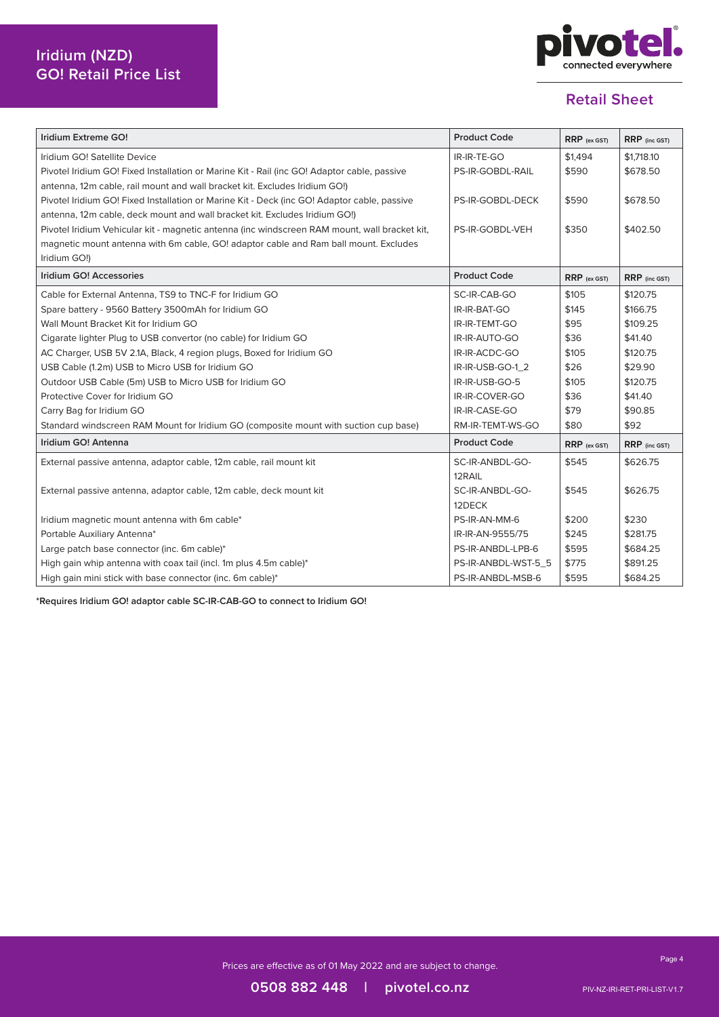

| Iridium Extreme GO!                                                                           | <b>Product Code</b> | RRP (ex GST) | RRP (inc GST) |
|-----------------------------------------------------------------------------------------------|---------------------|--------------|---------------|
| Iridium GO! Satellite Device                                                                  | IR-IR-TE-GO         | \$1.494      | \$1,718.10    |
| Pivotel Iridium GO! Fixed Installation or Marine Kit - Rail (inc GO! Adaptor cable, passive   | PS-IR-GOBDL-RAIL    | \$590        | \$678.50      |
| antenna, 12m cable, rail mount and wall bracket kit. Excludes Iridium GO!)                    |                     |              |               |
| Pivotel Iridium GO! Fixed Installation or Marine Kit - Deck (inc GO! Adaptor cable, passive   | PS-IR-GOBDL-DECK    | \$590        | \$678.50      |
| antenna, 12m cable, deck mount and wall bracket kit. Excludes Iridium GO!)                    |                     |              |               |
| Pivotel Iridium Vehicular kit - magnetic antenna (inc windscreen RAM mount, wall bracket kit, | PS-IR-GOBDL-VEH     | \$350        | \$402.50      |
| magnetic mount antenna with 6m cable, GO! adaptor cable and Ram ball mount. Excludes          |                     |              |               |
| Iridium GO!)                                                                                  |                     |              |               |
| Iridium GO! Accessories                                                                       | <b>Product Code</b> | RRP (ex GST) | RRP (inc GST) |
| Cable for External Antenna, TS9 to TNC-F for Iridium GO                                       | SC-IR-CAB-GO        | \$105        | \$120.75      |
| Spare battery - 9560 Battery 3500mAh for Iridium GO                                           | IR-IR-BAT-GO        | \$145        | \$166.75      |
| Wall Mount Bracket Kit for Iridium GO                                                         | IR-IR-TEMT-GO       | \$95         | \$109.25      |
| Cigarate lighter Plug to USB convertor (no cable) for Iridium GO                              | IR-IR-AUTO-GO       | \$36         | \$41.40       |
| AC Charger, USB 5V 2.1A, Black, 4 region plugs, Boxed for Iridium GO                          | IR-IR-ACDC-GO       | \$105        | \$120.75      |
| USB Cable (1.2m) USB to Micro USB for Iridium GO                                              | IR-IR-USB-GO-1_2    | \$26         | \$29.90       |
| Outdoor USB Cable (5m) USB to Micro USB for Iridium GO                                        | IR-IR-USB-GO-5      | \$105        | \$120.75      |
| Protective Cover for Iridium GO                                                               | IR-IR-COVER-GO      | \$36         | \$41.40       |
| Carry Bag for Iridium GO                                                                      | IR-IR-CASE-GO       | \$79         | \$90.85       |
| Standard windscreen RAM Mount for Iridium GO (composite mount with suction cup base)          | RM-IR-TEMT-WS-GO    | \$80         | \$92          |
| Iridium GO! Antenna                                                                           | <b>Product Code</b> | RRP (ex GST) | RRP (inc GST) |
| External passive antenna, adaptor cable, 12m cable, rail mount kit                            | SC-IR-ANBDL-GO-     | \$545        | \$626.75      |
|                                                                                               | 12RAIL              |              |               |
| External passive antenna, adaptor cable, 12m cable, deck mount kit                            | SC-IR-ANBDL-GO-     | \$545        | \$626.75      |
|                                                                                               | 12DECK              |              |               |
| Iridium magnetic mount antenna with 6m cable*                                                 | PS-IR-AN-MM-6       | \$200        | \$230         |
| Portable Auxiliary Antenna*                                                                   | IR-IR-AN-9555/75    | \$245        | \$281.75      |
| Large patch base connector (inc. 6m cable)*                                                   | PS-IR-ANBDL-LPB-6   | \$595        | \$684.25      |
| High gain whip antenna with coax tail (incl. 1m plus 4.5m cable)*                             | PS-IR-ANBDL-WST-5_5 | \$775        | \$891.25      |
| High gain mini stick with base connector (inc. 6m cable)*                                     | PS-IR-ANBDL-MSB-6   | \$595        | \$684.25      |

**\*Requires Iridium GO! adaptor cable SC-IR-CAB-GO to connect to Iridium GO!**

Prices are effective as of 01 May 2022 and are subject to change.

**1300 882 448 | pivotel.com.au 0508 882 448 | pivotel.co.nz**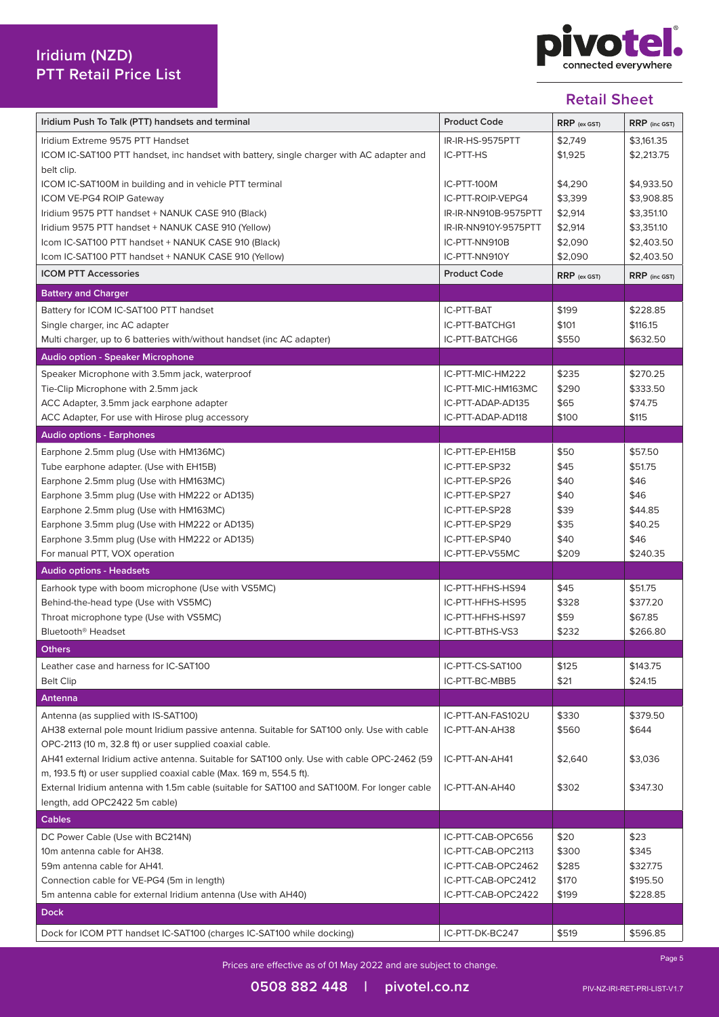

| Iridium Push To Talk (PTT) handsets and terminal                                            | <b>Product Code</b>  | $RRP$ (ex GST) | RRP (inc GST) |
|---------------------------------------------------------------------------------------------|----------------------|----------------|---------------|
| Iridium Extreme 9575 PTT Handset                                                            | IR-IR-HS-9575PTT     | \$2,749        | \$3,161.35    |
| ICOM IC-SAT100 PTT handset, inc handset with battery, single charger with AC adapter and    | IC-PTT-HS            | \$1,925        | \$2,213.75    |
| belt clip.                                                                                  |                      |                |               |
| ICOM IC-SAT100M in building and in vehicle PTT terminal                                     | IC-PTT-100M          | \$4,290        | \$4,933.50    |
| <b>ICOM VE-PG4 ROIP Gateway</b>                                                             | IC-PTT-ROIP-VEPG4    | \$3,399        | \$3,908.85    |
| Iridium 9575 PTT handset + NANUK CASE 910 (Black)                                           | IR-IR-NN910B-9575PTT | \$2,914        | \$3,351.10    |
| Iridium 9575 PTT handset + NANUK CASE 910 (Yellow)                                          | IR-IR-NN910Y-9575PTT | \$2,914        | \$3,351.10    |
| Icom IC-SAT100 PTT handset + NANUK CASE 910 (Black)                                         | IC-PTT-NN910B        | \$2,090        | \$2,403.50    |
| Icom IC-SAT100 PTT handset + NANUK CASE 910 (Yellow)                                        | IC-PTT-NN910Y        | \$2,090        | \$2,403.50    |
| <b>ICOM PTT Accessories</b>                                                                 | <b>Product Code</b>  | $RRP$ (ex GST) | RRP (inc GST) |
| <b>Battery and Charger</b>                                                                  |                      |                |               |
| Battery for ICOM IC-SAT100 PTT handset                                                      | IC-PTT-BAT           | \$199          | \$228.85      |
| Single charger, inc AC adapter                                                              | IC-PTT-BATCHG1       | \$101          | \$116.15      |
| Multi charger, up to 6 batteries with/without handset (inc AC adapter)                      | IC-PTT-BATCHG6       | \$550          | \$632.50      |
| <b>Audio option - Speaker Microphone</b>                                                    |                      |                |               |
|                                                                                             |                      |                |               |
| Speaker Microphone with 3.5mm jack, waterproof                                              | IC-PTT-MIC-HM222     | \$235          | \$270.25      |
| Tie-Clip Microphone with 2.5mm jack                                                         | IC-PTT-MIC-HM163MC   | \$290          | \$333.50      |
| ACC Adapter, 3.5mm jack earphone adapter                                                    | IC-PTT-ADAP-AD135    | \$65           | \$74.75       |
| ACC Adapter, For use with Hirose plug accessory                                             | IC-PTT-ADAP-AD118    | \$100          | \$115         |
| <b>Audio options - Earphones</b>                                                            |                      |                |               |
| Earphone 2.5mm plug (Use with HM136MC)                                                      | IC-PTT-EP-EH15B      | \$50           | \$57.50       |
| Tube earphone adapter. (Use with EH15B)                                                     | IC-PTT-EP-SP32       | \$45           | \$51.75       |
| Earphone 2.5mm plug (Use with HM163MC)                                                      | IC-PTT-EP-SP26       | \$40           | \$46          |
| Earphone 3.5mm plug (Use with HM222 or AD135)                                               | IC-PTT-EP-SP27       | \$40           | \$46          |
| Earphone 2.5mm plug (Use with HM163MC)                                                      | IC-PTT-EP-SP28       | \$39           | \$44.85       |
| Earphone 3.5mm plug (Use with HM222 or AD135)                                               | IC-PTT-EP-SP29       | \$35           | \$40.25       |
| Earphone 3.5mm plug (Use with HM222 or AD135)                                               | IC-PTT-EP-SP40       | \$40           | \$46          |
| For manual PTT, VOX operation                                                               | IC-PTT-EP-V55MC      | \$209          | \$240.35      |
| <b>Audio options - Headsets</b>                                                             |                      |                |               |
| Earhook type with boom microphone (Use with VS5MC)                                          | IC-PTT-HFHS-HS94     | \$45           | \$51.75       |
| Behind-the-head type (Use with VS5MC)                                                       | IC-PTT-HFHS-HS95     | \$328          | \$377.20      |
| Throat microphone type (Use with VS5MC)                                                     | IC-PTT-HFHS-HS97     | \$59           | \$67.85       |
| Bluetooth <sup>®</sup> Headset                                                              | IC-PTT-BTHS-VS3      | \$232          | \$266.80      |
| <b>Others</b>                                                                               |                      |                |               |
| Leather case and harness for IC-SAT100                                                      | IC-PTT-CS-SAT100     |                | \$143.75      |
|                                                                                             |                      | \$125<br>\$21  | \$24.15       |
| <b>Belt Clip</b>                                                                            | IC-PTT-BC-MBB5       |                |               |
| Antenna                                                                                     |                      |                |               |
| Antenna (as supplied with IS-SAT100)                                                        | IC-PTT-AN-FAS102U    | \$330          | \$379.50      |
| AH38 external pole mount Iridium passive antenna. Suitable for SAT100 only. Use with cable  | IC-PTT-AN-AH38       | \$560          | \$644         |
| OPC-2113 (10 m, 32.8 ft) or user supplied coaxial cable.                                    |                      |                |               |
| AH41 external Iridium active antenna. Suitable for SAT100 only. Use with cable OPC-2462 (59 | IC-PTT-AN-AH41       | \$2,640        | \$3,036       |
| m, 193.5 ft) or user supplied coaxial cable (Max. 169 m, 554.5 ft).                         |                      |                |               |
| External Iridium antenna with 1.5m cable (suitable for SAT100 and SAT100M. For longer cable | IC-PTT-AN-AH40       | \$302          | \$347.30      |
| length, add OPC2422 5m cable)                                                               |                      |                |               |
| <b>Cables</b>                                                                               |                      |                |               |
| DC Power Cable (Use with BC214N)                                                            | IC-PTT-CAB-OPC656    | \$20           | \$23          |
| 10m antenna cable for AH38.                                                                 | IC-PTT-CAB-OPC2113   | \$300          | \$345         |
| 59m antenna cable for AH41.                                                                 | IC-PTT-CAB-OPC2462   | \$285          | \$327.75      |
| Connection cable for VE-PG4 (5m in length)                                                  | IC-PTT-CAB-OPC2412   | \$170          | \$195.50      |
| 5m antenna cable for external Iridium antenna (Use with AH40)                               | IC-PTT-CAB-OPC2422   | \$199          | \$228.85      |
| <b>Dock</b>                                                                                 |                      |                |               |
| Dock for ICOM PTT handset IC-SAT100 (charges IC-SAT100 while docking)                       | IC-PTT-DK-BC247      | \$519          | \$596.85      |
|                                                                                             |                      |                |               |